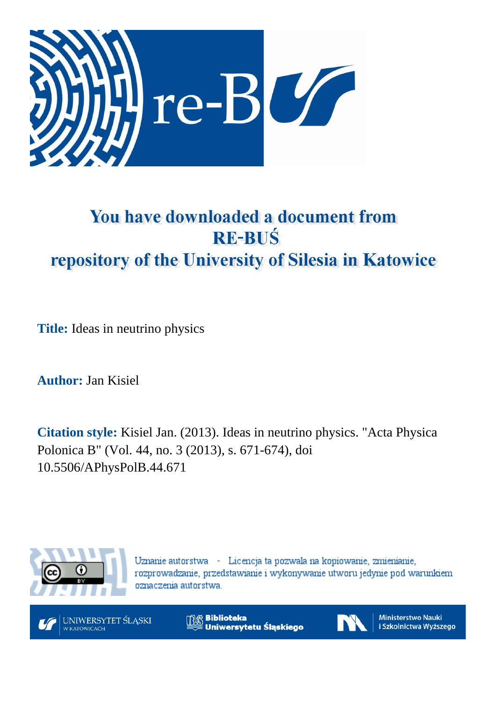

# You have downloaded a document from **RE-BUŚ** repository of the University of Silesia in Katowice

**Title:** Ideas in neutrino physics

**Author:** Jan Kisiel

**Citation style:** Kisiel Jan. (2013). Ideas in neutrino physics. "Acta Physica Polonica B" (Vol. 44, no. 3 (2013), s. 671-674), doi 10.5506/APhysPolB.44.671



Uznanie autorstwa - Licencja ta pozwala na kopiowanie, zmienianie, rozprowadzanie, przedstawianie i wykonywanie utworu jedynie pod warunkiem oznaczenia autorstwa.



**Biblioteka** Uniwersytetu Śląskiego



Ministerstwo Nauki i Szkolnictwa Wyższego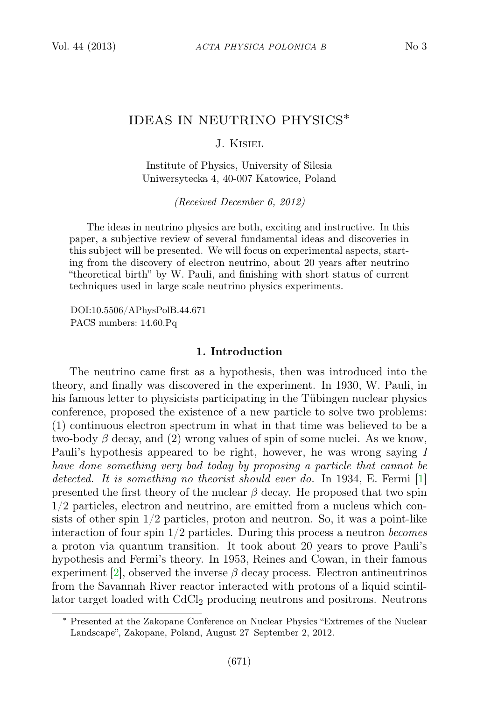## IDEAS IN NEUTRINO PHYSICS∗

J. Kisiel

Institute of Physics, University of Silesia Uniwersytecka 4, 40-007 Katowice, Poland

(Received December 6, 2012)

The ideas in neutrino physics are both, exciting and instructive. In this paper, a subjective review of several fundamental ideas and discoveries in this subject will be presented. We will focus on experimental aspects, starting from the discovery of electron neutrino, about 20 years after neutrino "theoretical birth" by W. Pauli, and finishing with short status of current techniques used in large scale neutrino physics experiments.

DOI:10.5506/APhysPolB.44.671 PACS numbers: 14.60.Pq

#### 1. Introduction

The neutrino came first as a hypothesis, then was introduced into the theory, and finally was discovered in the experiment. In 1930, W. Pauli, in his famous letter to physicists participating in the Tübingen nuclear physics conference, proposed the existence of a new particle to solve two problems: (1) continuous electron spectrum in what in that time was believed to be a two-body  $\beta$  decay, and (2) wrong values of spin of some nuclei. As we know, Pauli's hypothesis appeared to be right, however, he was wrong saying I have done something very bad today by proposing a particle that cannot be detected. It is something no theorist should ever do. In 1934, E. Fermi [\[1\]](#page-4-0) presented the first theory of the nuclear  $\beta$  decay. He proposed that two spin 1/2 particles, electron and neutrino, are emitted from a nucleus which consists of other spin 1/2 particles, proton and neutron. So, it was a point-like interaction of four spin  $1/2$  particles. During this process a neutron becomes a proton via quantum transition. It took about 20 years to prove Pauli's hypothesis and Fermi's theory. In 1953, Reines and Cowan, in their famous experiment [\[2\]](#page-4-1), observed the inverse  $\beta$  decay process. Electron antineutrinos from the Savannah River reactor interacted with protons of a liquid scintillator target loaded with CdCl<sup>2</sup> producing neutrons and positrons. Neutrons

<sup>∗</sup> Presented at the Zakopane Conference on Nuclear Physics "Extremes of the Nuclear Landscape", Zakopane, Poland, August 27–September 2, 2012.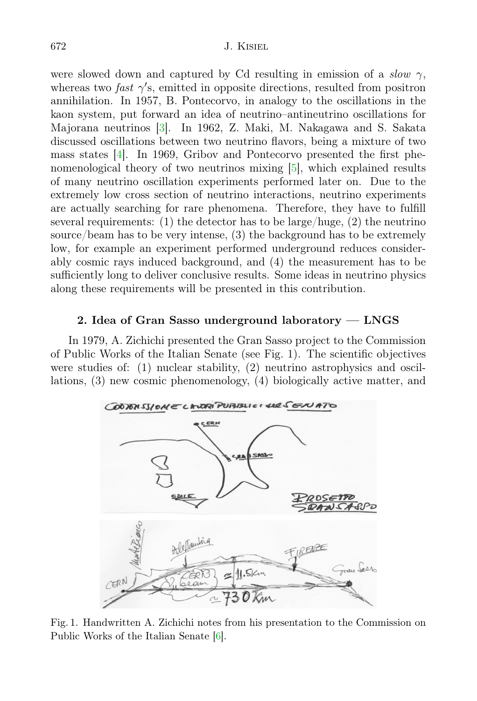were slowed down and captured by Cd resulting in emission of a slow  $\gamma$ , whereas two *fast*  $\gamma$ 's, emitted in opposite directions, resulted from positron annihilation. In 1957, B. Pontecorvo, in analogy to the oscillations in the kaon system, put forward an idea of neutrino–antineutrino oscillations for Majorana neutrinos [\[3\]](#page-4-2). In 1962, Z. Maki, M. Nakagawa and S. Sakata discussed oscillations between two neutrino flavors, being a mixture of two mass states [\[4\]](#page-4-3). In 1969, Gribov and Pontecorvo presented the first phenomenological theory of two neutrinos mixing [\[5\]](#page-4-4), which explained results of many neutrino oscillation experiments performed later on. Due to the extremely low cross section of neutrino interactions, neutrino experiments are actually searching for rare phenomena. Therefore, they have to fulfill several requirements: (1) the detector has to be large/huge, (2) the neutrino source/beam has to be very intense, (3) the background has to be extremely low, for example an experiment performed underground reduces considerably cosmic rays induced background, and (4) the measurement has to be sufficiently long to deliver conclusive results. Some ideas in neutrino physics along these requirements will be presented in this contribution.

#### 2. Idea of Gran Sasso underground laboratory — LNGS

In 1979, A. Zichichi presented the Gran Sasso project to the Commission of Public Works of the Italian Senate (see Fig. 1). The scientific objectives were studies of: (1) nuclear stability, (2) neutrino astrophysics and oscillations, (3) new cosmic phenomenology, (4) biologically active matter, and



Fig. 1. Handwritten A. Zichichi notes from his presentation to the Commission on Public Works of the Italian Senate [\[6\]](#page-4-5).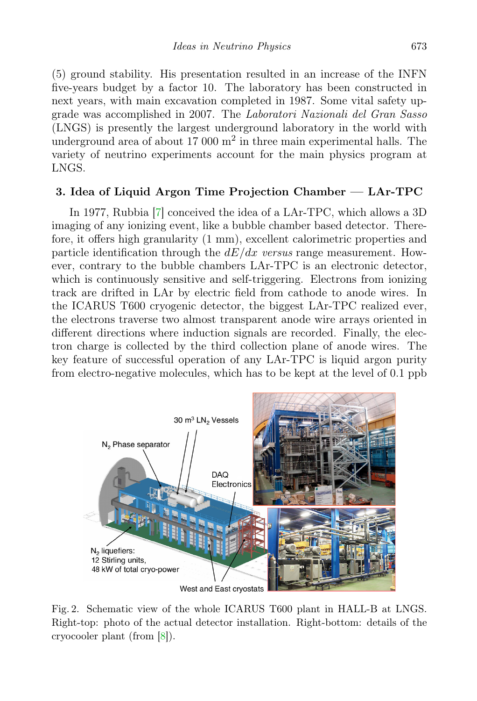(5) ground stability. His presentation resulted in an increase of the INFN five-years budget by a factor 10. The laboratory has been constructed in next years, with main excavation completed in 1987. Some vital safety upgrade was accomplished in 2007. The Laboratori Nazionali del Gran Sasso (LNGS) is presently the largest underground laboratory in the world with underground area of about  $17000 \text{ m}^2$  in three main experimental halls. The variety of neutrino experiments account for the main physics program at LNGS.

## 3. Idea of Liquid Argon Time Projection Chamber — LAr-TPC

In 1977, Rubbia [\[7\]](#page-4-6) conceived the idea of a LAr-TPC, which allows a 3D imaging of any ionizing event, like a bubble chamber based detector. Therefore, it offers high granularity (1 mm), excellent calorimetric properties and particle identification through the  $dE/dx$  versus range measurement. However, contrary to the bubble chambers LAr-TPC is an electronic detector, which is continuously sensitive and self-triggering. Electrons from ionizing track are drifted in LAr by electric field from cathode to anode wires. In the ICARUS T600 cryogenic detector, the biggest LAr-TPC realized ever, the electrons traverse two almost transparent anode wire arrays oriented in different directions where induction signals are recorded. Finally, the electron charge is collected by the third collection plane of anode wires. The key feature of successful operation of any LAr-TPC is liquid argon purity from electro-negative molecules, which has to be kept at the level of 0.1 ppb



Fig. 2. Schematic view of the whole ICARUS T600 plant in HALL-B at LNGS. Right-top: photo of the actual detector installation. Right-bottom: details of the cryocooler plant (from [\[8\]](#page-4-7)).